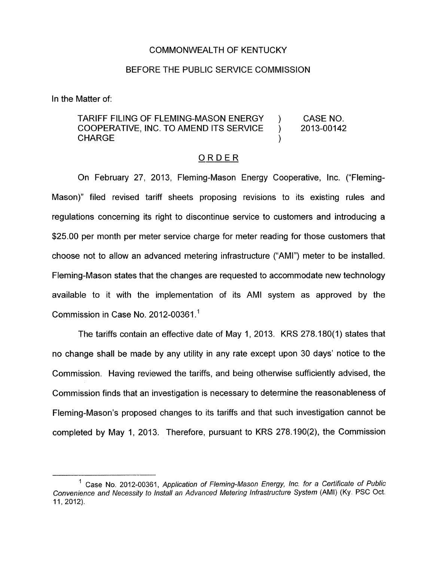## COMMONWEALTH OF KENTUCKY

## BEFORE THE PUBLIC SERVICE COMMISSION

In the Matter of:

## TARIFF FILING OF FLEMING-MASON ENERGY ) CASE NO. COOPERATIVE, INC. TO AMEND ITS SERVICE ) 2013-00142 **CHARGE**

## ORDER

On February 27, 2013, Fleming-Mason Energy Cooperative, Inc. ("Fleming-Mason)" filed revised tariff sheets proposing revisions to its existing rules and regulations concerning its right to discontinue service to customers and introducing a \$25.00 per month per meter service charge for meter reading for those customers that choose not to allow an advanced metering infrastructure ("AMI") meter to be installed. Fleming-Mason states that the changes are requested to accommodate new technology available to it with the implementation of its AMI system as approved by the Commission in Case No. 2012-00361 .'

The tariffs contain an effective date of May 1, 2013. KRS 278.180(1) states that no change shall be made by any utility in any rate except upon 30 days' notice to the Commission. Having reviewed the tariffs, and being otherwise sufficiently advised, the Commission finds that an investigation is necessary to determine the reasonableness of Fleming-Mason's proposed changes to its tariffs and that such investigation cannot be completed by May 1, 2013. Therefore, pursuant to KRS 278.190(2), the Commission

<sup>&</sup>lt;sup>1</sup> Case No. 2012-00361, *Application of Fleming-Mason Energy, Inc. for a Certificate of Public Convenience and Necessity* to *lnstall an Advanced Metering lnfrasfrucfure System* (AMI) **(Ky.** PSC Oct. 11,2012).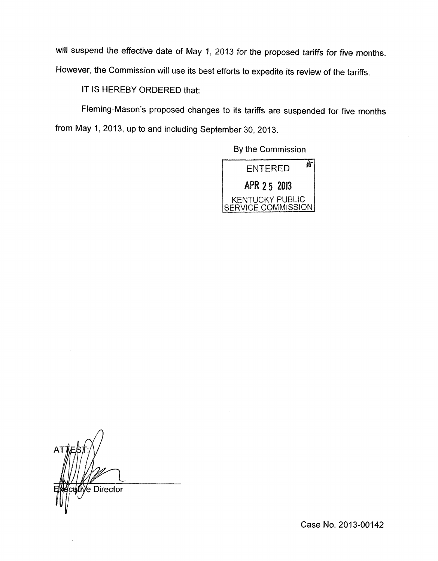will suspend the effective date of May 1, 2013 for the proposed tariffs for five months. However, the Commission will use its best efforts to expedite its review of the tariffs.

IT IS HEREBY ORDERED that:

Fleming-Mason's proposed changes to its tariffs are suspended for five months from May 1, 2013, up to and including September 30, 2013.

By the Commission



*A*  e Director

Case No. 2013-00142